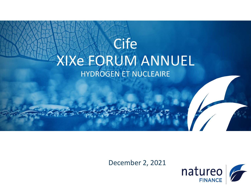# Cife XIXe FORUM ANNUEL HYDROGEN ET NUCLEAIRE

December 2, 2021

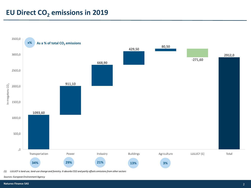## **EU Direct CO<sup>2</sup> emissions in 2019**



*(1) LULUCF is land use, land-use change and forestry. It absorbs CO2 and partly offsets emissions from other sectors*

*Sources: European Environment Agency*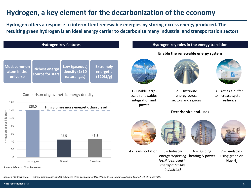## **Hydrogen, a key element for the decarbonization of the economy**

**Hydrogen offers a response to intermittent renewable energies by storing excess energy produced. The resulting green hydrogen is an ideal energy carrier to decarbonize many industrial and transportation sectors**



*Sources: Plastic Omnium – Hydrogen Conference (Oddo), Advanced Clean Tech News, L'UsineNouvelle, Air Liquide, Hydrogen Council, IEA 2019, CertifHy*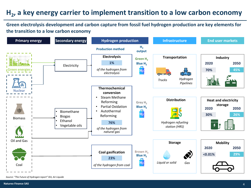## **H2 , a key energy carrier to implement transition to a low carbon economy**

**Green electrolysis development and carbon capture from fossil fuel hydrogen production are key elements for the transition to a low carbon economy**



*Source: "The Future of Hydrogen report" IEA, Air Liquide*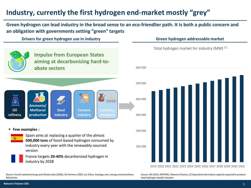## **Industry, currently the first hydrogen end-market mostly "grey"**

**Green hydrogen can lead industry in the broad sense to an eco-friendlier path. It is both a public concern and an obligation with governments setting "green" targets**

**Drivers for green hydrogen use in industry Green hydrogen addressable market**



- **Few examples :** 
	- Spain aims at replacing a quarter of the almost **500,000 tons** of fossil-based hydrogen consumed by industry every year with the renewably-sourced version
		- **France targets 20-40% decarbonized hydrogen in** industry by 2028

*Source: French national energy and climate plan (2020), Sia Partners 2020, Les Echos, lexology.com, energy.economictimes, Ministeries*



Total hydrogen market for industry (MW) (1)



*Source: IEA 2019, AFHYPAC, Natureo Finance, (1) Equivalent electrolysis capacity required to produce total hydrogen market volumes*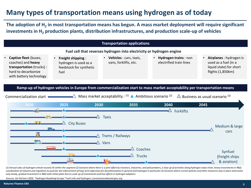## **Many types of transportation means using hydrogen as of today**

**The adoption of H<sup>2</sup> in most transportation means has begun. A mass market deployment will require significant investments in H<sup>2</sup> production plants, distribution infrastructures, and production scale-up of vehicles**



(1) Annual sales of hydrogen vehicle exceed 1% within the segment (2) Scenario where there is a joint effort by investors, industries, and policymakers, a step-up of activities along hydrogen value chain, heavy investments coordination of industry and requlators to push for the enforcement of long-term objectives for decarbonization in general and hydrogen in particular (3) Scenario where current policies and other measures stay in place and *only slowly, gradual investment in R&D with initial pilots but no scale up of investments and low efforts in hydrogen adoption*

*Sources: Sia Partners 2020, "Hydrogen Roadmap Europe" Fuell cells and hydrogen, connaissancedesenergies.org*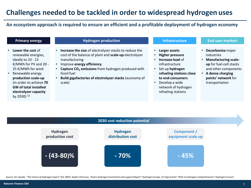### **Challenges needed to be tackled in order to widespread hydrogen uses**

### **An ecosystem approach is required to ensure an efficient and a profitable deployment of hydrogen economy**

- **Lower the cost** of renewable energies, ideally to 10 - 15 €/MWh for PV and 20 - 25 €/MWh for wind
- Renewable energy **production scale-up**  (in order to achieve **70 GW of total installed electrolyzer capacity**  by 2030) (1)

### **Primary energy Hydrogen production Infrastructure End user markets**

- **Increase the size** of electrolyzer stacks to reduce the cost of the balance of plant and **scale-up** electrolyzer manufacturing
- Improve **energy efficiency**
- **Capture CO<sup>2</sup> emissions** from hydrogen produced with fossil fuel
- **Build gigafactories of electrolyzerstacks** (economy of scale)

- **Larger assets**
- **Higher pressure**
- **Increase load** of infrastructure
- Set up **hydrogen refueling stations close to end-consumers**
- Develop a wide network of hydrogen refueling stations

- **Decarbonize** major industries
- **Manufacturing scaleup** for fuel-cell stacks and other components
- **A dense charging points' network** for transportation



Source: Air Liquide, "The Future of Hydrogen report" IEA, BNEF, Kepler Chevreux, "Green Hydrogen investment and support Report" Hydrogen Europe, (1) Figure from "Path to hydrogen competitiveness" Hydrogen Council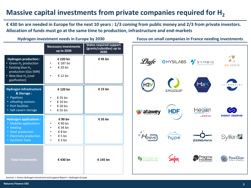### **Massive capital investments from private companies required for H<sup>2</sup>**

**€ 430 bn are needed in Europe for the next 10 years : 1/3 coming from public money and 2/3 from private investors. Allocation of funds must go at the same time to production, infrastructure and end-markets**

|                                                                                                                                                             | <b>Necessary investments</b><br>up to 2030                         | <b>States required support</b><br>(grants/subsidies) up to<br>2030 |
|-------------------------------------------------------------------------------------------------------------------------------------------------------------|--------------------------------------------------------------------|--------------------------------------------------------------------|
| <b>Hydrogen production:</b><br>• Green H <sub>2</sub> production<br>• Existing blue $H_2$<br>production (Gas SMR)<br>• New blue $H2$ (coal<br>gasification) | € 220 bn<br>€ 187 bn<br>€ 20 bn<br>€ 12 bn                         | €95 bn                                                             |
| <b>Hydrogen infrastructure</b><br>& Storage:<br>Pipelines<br>٠<br>• refueling stations<br>• Port facilities<br>· Salt cavern storage                        | € 120 bn<br>€ 35 bn<br>€ 10 bn<br>€ 20 bn<br>€ 55 bn               | €15 bn                                                             |
| <b>Hydrogen applications:</b><br><b>Mobility applications</b><br>• Heating<br>• Steel production<br><b>Electricity production</b><br>٠<br>• Synthetic fuels | €90 bn<br>€40 bn<br>€ 34 bn<br>$\epsilon$ 8 bn<br>£ 5 bn<br>€ 3 bn | € 35 bn                                                            |
| <b>Total investments</b>                                                                                                                                    | €430 bn                                                            | €145 bn                                                            |

**Hydrogen investment needs in Europe by 2030 Focus on small companies in France needing investments**



*Sources: « Green Hydrogen investment and support Report » Hydrogen Europe*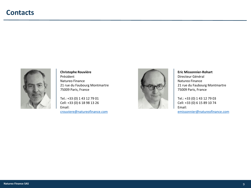

### **Christophe Rouvière** Président Natureo Finance 21 rue du Faubourg Montmartre 75009 Paris, France

Tel.: +33 (0) 1 43 12 79 01 Cell: +33 (0) 6 18 98 13 26 Email:

[crouviere@natureofinance.com](mailto:crouviere@natureofinance.com)



**Eric Missonnier-Rohart** Directeur Général Natureo Finance 21 rue du Faubourg Montmartre 75009 Paris, France

Tel.: +33 (0) 1 43 12 79 03 Cell: +33 (0) 6 15 89 10 74 Email:

[emissonnier@natureofinance.com](mailto:emissonnier@natureofinance.com)